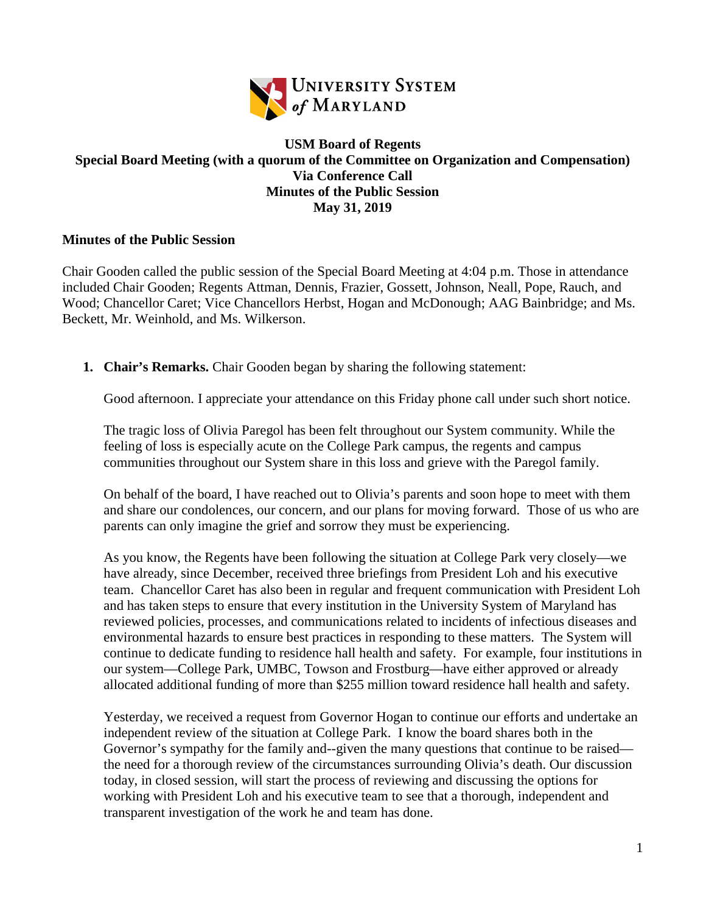

## **USM Board of Regents Special Board Meeting (with a quorum of the Committee on Organization and Compensation) Via Conference Call Minutes of the Public Session May 31, 2019**

## **Minutes of the Public Session**

Chair Gooden called the public session of the Special Board Meeting at 4:04 p.m. Those in attendance included Chair Gooden; Regents Attman, Dennis, Frazier, Gossett, Johnson, Neall, Pope, Rauch, and Wood; Chancellor Caret; Vice Chancellors Herbst, Hogan and McDonough; AAG Bainbridge; and Ms. Beckett, Mr. Weinhold, and Ms. Wilkerson.

**1. Chair's Remarks.** Chair Gooden began by sharing the following statement:

Good afternoon. I appreciate your attendance on this Friday phone call under such short notice.

The tragic loss of Olivia Paregol has been felt throughout our System community. While the feeling of loss is especially acute on the College Park campus, the regents and campus communities throughout our System share in this loss and grieve with the Paregol family.

On behalf of the board, I have reached out to Olivia's parents and soon hope to meet with them and share our condolences, our concern, and our plans for moving forward. Those of us who are parents can only imagine the grief and sorrow they must be experiencing.

As you know, the Regents have been following the situation at College Park very closely—we have already, since December, received three briefings from President Loh and his executive team. Chancellor Caret has also been in regular and frequent communication with President Loh and has taken steps to ensure that every institution in the University System of Maryland has reviewed policies, processes, and communications related to incidents of infectious diseases and environmental hazards to ensure best practices in responding to these matters. The System will continue to dedicate funding to residence hall health and safety. For example, four institutions in our system—College Park, UMBC, Towson and Frostburg—have either approved or already allocated additional funding of more than \$255 million toward residence hall health and safety.

Yesterday, we received a request from Governor Hogan to continue our efforts and undertake an independent review of the situation at College Park. I know the board shares both in the Governor's sympathy for the family and--given the many questions that continue to be raised the need for a thorough review of the circumstances surrounding Olivia's death. Our discussion today, in closed session, will start the process of reviewing and discussing the options for working with President Loh and his executive team to see that a thorough, independent and transparent investigation of the work he and team has done.